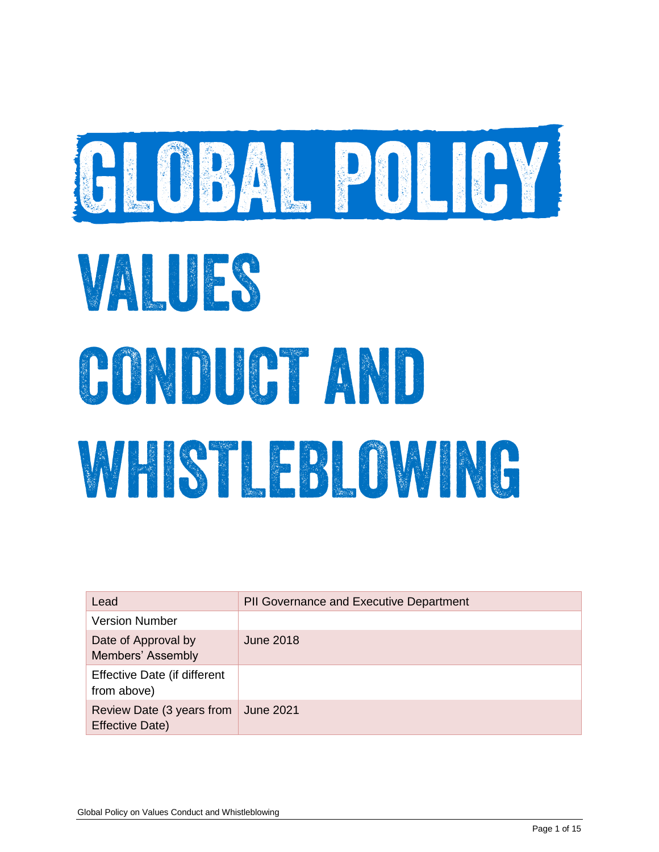

# VALUES CONDUCT AND WESTER OWNER

| Lead                                         | <b>PII Governance and Executive Department</b> |
|----------------------------------------------|------------------------------------------------|
| <b>Version Number</b>                        |                                                |
| Date of Approval by<br>Members' Assembly     | June 2018                                      |
| Effective Date (if different<br>from above)  |                                                |
| Review Date (3 years from<br>Effective Date) | <b>June 2021</b>                               |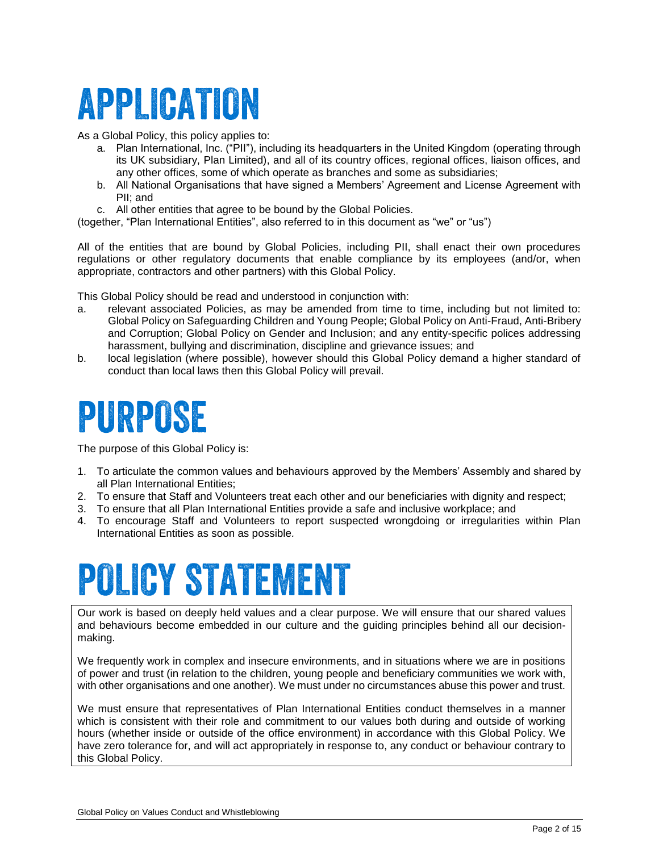# APPLICATION

As a Global Policy, this policy applies to:

- a. Plan International, Inc. ("PII"), including its headquarters in the United Kingdom (operating through its UK subsidiary, Plan Limited), and all of its country offices, regional offices, liaison offices, and any other offices, some of which operate as branches and some as subsidiaries;
- b. All National Organisations that have signed a Members' Agreement and License Agreement with PII; and
- c. All other entities that agree to be bound by the Global Policies.
- (together, "Plan International Entities", also referred to in this document as "we" or "us")

All of the entities that are bound by Global Policies, including PII, shall enact their own procedures regulations or other regulatory documents that enable compliance by its employees (and/or, when appropriate, contractors and other partners) with this Global Policy.

This Global Policy should be read and understood in conjunction with:

- a. relevant associated Policies, as may be amended from time to time, including but not limited to: Global Policy on Safeguarding Children and Young People; Global Policy on Anti-Fraud, Anti-Bribery and Corruption; Global Policy on Gender and Inclusion; and any entity-specific polices addressing harassment, bullying and discrimination, discipline and grievance issues; and
- b. local legislation (where possible), however should this Global Policy demand a higher standard of conduct than local laws then this Global Policy will prevail.

# PURPOSE

The purpose of this Global Policy is:

- 1. To articulate the common values and behaviours approved by the Members' Assembly and shared by all Plan International Entities;
- 2. To ensure that Staff and Volunteers treat each other and our beneficiaries with dignity and respect;
- 3. To ensure that all Plan International Entities provide a safe and inclusive workplace; and
- 4. To encourage Staff and Volunteers to report suspected wrongdoing or irregularities within Plan International Entities as soon as possible*.*

# **POLICY STATEMENT**

Our work is based on deeply held values and a clear purpose. We will ensure that our shared values and behaviours become embedded in our culture and the guiding principles behind all our decisionmaking.

We frequently work in complex and insecure environments, and in situations where we are in positions of power and trust (in relation to the children, young people and beneficiary communities we work with, with other organisations and one another). We must under no circumstances abuse this power and trust.

We must ensure that representatives of Plan International Entities conduct themselves in a manner which is consistent with their role and commitment to our values both during and outside of working hours (whether inside or outside of the office environment) in accordance with this Global Policy. We have zero tolerance for, and will act appropriately in response to, any conduct or behaviour contrary to this Global Policy.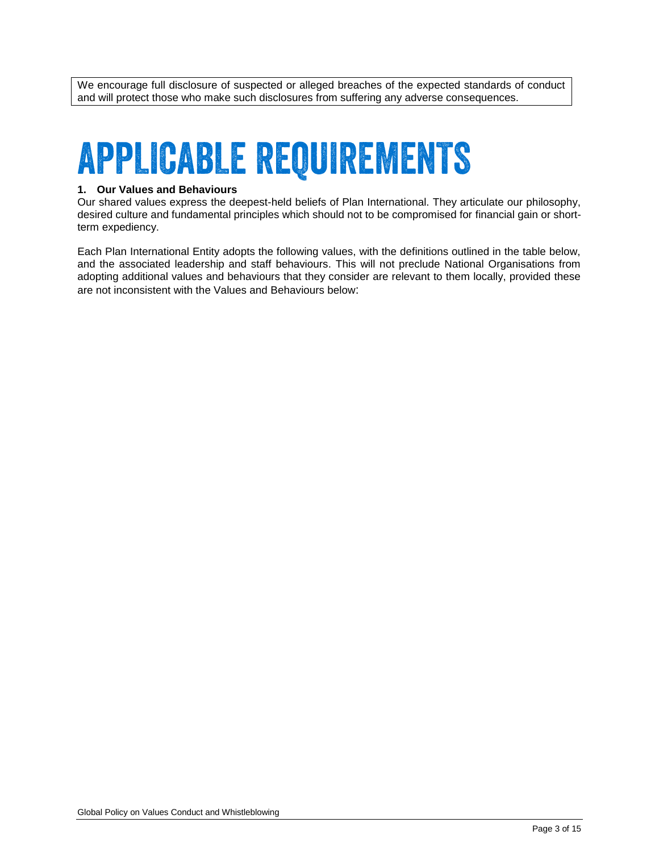We encourage full disclosure of suspected or alleged breaches of the expected standards of conduct and will protect those who make such disclosures from suffering any adverse consequences.

# **APPLICABLE REQUIREMENTS**

#### **1. Our Values and Behaviours**

Our shared values express the deepest-held beliefs of Plan International. They articulate our philosophy, desired culture and fundamental principles which should not to be compromised for financial gain or shortterm expediency.

Each Plan International Entity adopts the following values, with the definitions outlined in the table below, and the associated leadership and staff behaviours. This will not preclude National Organisations from adopting additional values and behaviours that they consider are relevant to them locally, provided these are not inconsistent with the Values and Behaviours below: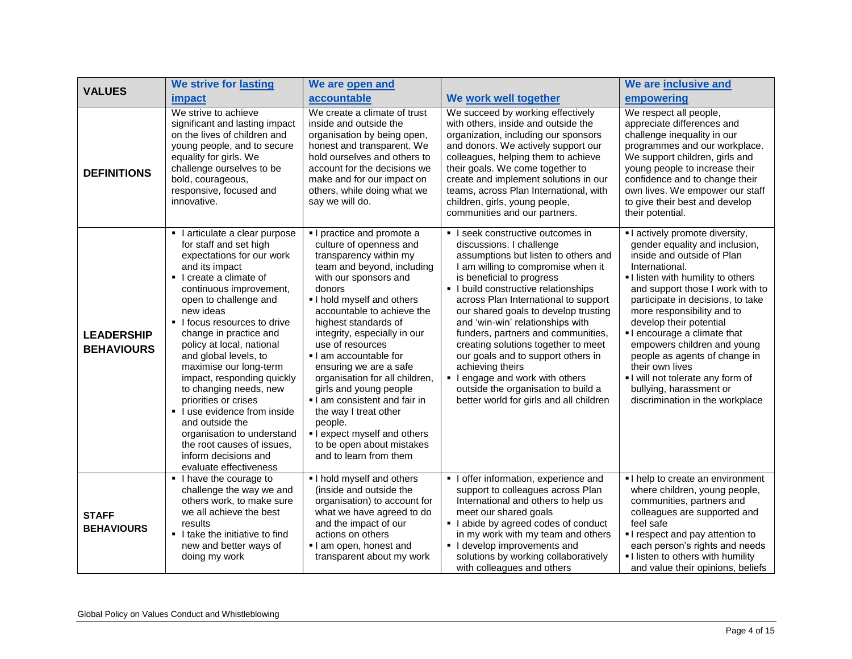| <b>VALUES</b>                          | We strive for lasting                                                                                                                                                                                                                                                                                                                                                                                                                                                                                                                                                                                      | We are open and                                                                                                                                                                                                                                                                                                                                                                                                                                                                                                                                            |                                                                                                                                                                                                                                                                                                                                                                                                                                                                                                                                                                                              | We are inclusive and                                                                                                                                                                                                                                                                                                                                                                                                                                                                                    |
|----------------------------------------|------------------------------------------------------------------------------------------------------------------------------------------------------------------------------------------------------------------------------------------------------------------------------------------------------------------------------------------------------------------------------------------------------------------------------------------------------------------------------------------------------------------------------------------------------------------------------------------------------------|------------------------------------------------------------------------------------------------------------------------------------------------------------------------------------------------------------------------------------------------------------------------------------------------------------------------------------------------------------------------------------------------------------------------------------------------------------------------------------------------------------------------------------------------------------|----------------------------------------------------------------------------------------------------------------------------------------------------------------------------------------------------------------------------------------------------------------------------------------------------------------------------------------------------------------------------------------------------------------------------------------------------------------------------------------------------------------------------------------------------------------------------------------------|---------------------------------------------------------------------------------------------------------------------------------------------------------------------------------------------------------------------------------------------------------------------------------------------------------------------------------------------------------------------------------------------------------------------------------------------------------------------------------------------------------|
|                                        | impact                                                                                                                                                                                                                                                                                                                                                                                                                                                                                                                                                                                                     | accountable                                                                                                                                                                                                                                                                                                                                                                                                                                                                                                                                                | We work well together                                                                                                                                                                                                                                                                                                                                                                                                                                                                                                                                                                        | empowering                                                                                                                                                                                                                                                                                                                                                                                                                                                                                              |
| <b>DEFINITIONS</b>                     | We strive to achieve<br>significant and lasting impact<br>on the lives of children and<br>young people, and to secure<br>equality for girls. We<br>challenge ourselves to be<br>bold, courageous,<br>responsive, focused and<br>innovative.                                                                                                                                                                                                                                                                                                                                                                | We create a climate of trust<br>inside and outside the<br>organisation by being open,<br>honest and transparent. We<br>hold ourselves and others to<br>account for the decisions we<br>make and for our impact on<br>others, while doing what we<br>say we will do.                                                                                                                                                                                                                                                                                        | We succeed by working effectively<br>with others, inside and outside the<br>organization, including our sponsors<br>and donors. We actively support our<br>colleagues, helping them to achieve<br>their goals. We come together to<br>create and implement solutions in our<br>teams, across Plan International, with<br>children, girls, young people,<br>communities and our partners.                                                                                                                                                                                                     | We respect all people,<br>appreciate differences and<br>challenge inequality in our<br>programmes and our workplace.<br>We support children, girls and<br>young people to increase their<br>confidence and to change their<br>own lives. We empower our staff<br>to give their best and develop<br>their potential.                                                                                                                                                                                     |
| <b>LEADERSHIP</b><br><b>BEHAVIOURS</b> | I articulate a clear purpose<br>$\blacksquare$<br>for staff and set high<br>expectations for our work<br>and its impact<br>I create a climate of<br>continuous improvement,<br>open to challenge and<br>new ideas<br>If ocus resources to drive<br>change in practice and<br>policy at local, national<br>and global levels, to<br>maximise our long-term<br>impact, responding quickly<br>to changing needs, new<br>priorities or crises<br>• I use evidence from inside<br>and outside the<br>organisation to understand<br>the root causes of issues,<br>inform decisions and<br>evaluate effectiveness | I practice and promote a<br>culture of openness and<br>transparency within my<br>team and beyond, including<br>with our sponsors and<br>donors<br>I hold myself and others<br>accountable to achieve the<br>highest standards of<br>integrity, especially in our<br>use of resources<br>I am accountable for<br>ensuring we are a safe<br>organisation for all children,<br>girls and young people<br>I am consistent and fair in<br>the way I treat other<br>people.<br>I expect myself and others<br>to be open about mistakes<br>and to learn from them | I seek constructive outcomes in<br>discussions. I challenge<br>assumptions but listen to others and<br>I am willing to compromise when it<br>is beneficial to progress<br>• I build constructive relationships<br>across Plan International to support<br>our shared goals to develop trusting<br>and 'win-win' relationships with<br>funders, partners and communities,<br>creating solutions together to meet<br>our goals and to support others in<br>achieving theirs<br>I engage and work with others<br>outside the organisation to build a<br>better world for girls and all children | I actively promote diversity,<br>gender equality and inclusion,<br>inside and outside of Plan<br>International.<br>I listen with humility to others<br>and support those I work with to<br>participate in decisions, to take<br>more responsibility and to<br>develop their potential<br>I encourage a climate that<br>empowers children and young<br>people as agents of change in<br>their own lives<br>I will not tolerate any form of<br>bullying, harassment or<br>discrimination in the workplace |
| <b>STAFF</b><br><b>BEHAVIOURS</b>      | I have the courage to<br>challenge the way we and<br>others work, to make sure<br>we all achieve the best<br>results<br>I take the initiative to find<br>new and better ways of<br>doing my work                                                                                                                                                                                                                                                                                                                                                                                                           | I hold myself and others<br>(inside and outside the<br>organisation) to account for<br>what we have agreed to do<br>and the impact of our<br>actions on others<br>I am open, honest and<br>transparent about my work                                                                                                                                                                                                                                                                                                                                       | I offer information, experience and<br>support to colleagues across Plan<br>International and others to help us<br>meet our shared goals<br>I abide by agreed codes of conduct<br>in my work with my team and others<br>I develop improvements and<br>solutions by working collaboratively<br>with colleagues and others                                                                                                                                                                                                                                                                     | I help to create an environment<br>where children, young people,<br>communities, partners and<br>colleagues are supported and<br>feel safe<br>I respect and pay attention to<br>each person's rights and needs<br>I listen to others with humility<br>and value their opinions, beliefs                                                                                                                                                                                                                 |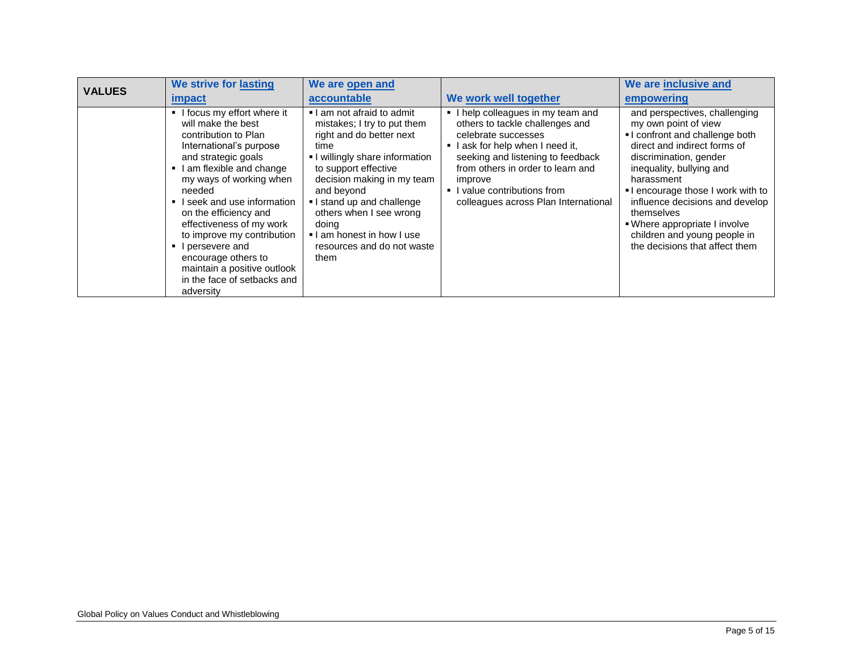| <b>VALUES</b> | We strive for lasting                                                                                                                                                                                                                                                                                                                                                                                                             | We are open and                                                                                                                                                                                                                                                                                                                    |                                                                                                                                                                                                                                                                                           | We are inclusive and                                                                                                                                                                                                                                                                                                                                                               |
|---------------|-----------------------------------------------------------------------------------------------------------------------------------------------------------------------------------------------------------------------------------------------------------------------------------------------------------------------------------------------------------------------------------------------------------------------------------|------------------------------------------------------------------------------------------------------------------------------------------------------------------------------------------------------------------------------------------------------------------------------------------------------------------------------------|-------------------------------------------------------------------------------------------------------------------------------------------------------------------------------------------------------------------------------------------------------------------------------------------|------------------------------------------------------------------------------------------------------------------------------------------------------------------------------------------------------------------------------------------------------------------------------------------------------------------------------------------------------------------------------------|
|               | <i>impact</i>                                                                                                                                                                                                                                                                                                                                                                                                                     | accountable                                                                                                                                                                                                                                                                                                                        | We work well together                                                                                                                                                                                                                                                                     | empowering                                                                                                                                                                                                                                                                                                                                                                         |
|               | I focus my effort where it<br>will make the best<br>contribution to Plan<br>International's purpose<br>and strategic goals<br>I am flexible and change<br>my ways of working when<br>needed<br>I seek and use information<br>on the efficiency and<br>effectiveness of my work<br>to improve my contribution<br>I persevere and<br>encourage others to<br>maintain a positive outlook<br>in the face of setbacks and<br>adversity | I am not afraid to admit<br>mistakes; I try to put them<br>right and do better next<br>time<br>I willingly share information<br>to support effective<br>decision making in my team<br>and beyond<br>I stand up and challenge<br>others when I see wrong<br>doing<br>I am honest in how I use<br>resources and do not waste<br>them | I help colleagues in my team and<br>others to tackle challenges and<br>celebrate successes<br>I ask for help when I need it,<br>seeking and listening to feedback<br>from others in order to learn and<br>improve<br>• I value contributions from<br>colleagues across Plan International | and perspectives, challenging<br>my own point of view<br>I confront and challenge both<br>direct and indirect forms of<br>discrimination, gender<br>inequality, bullying and<br>harassment<br>I encourage those I work with to<br>influence decisions and develop<br>themselves<br>• Where appropriate I involve<br>children and young people in<br>the decisions that affect them |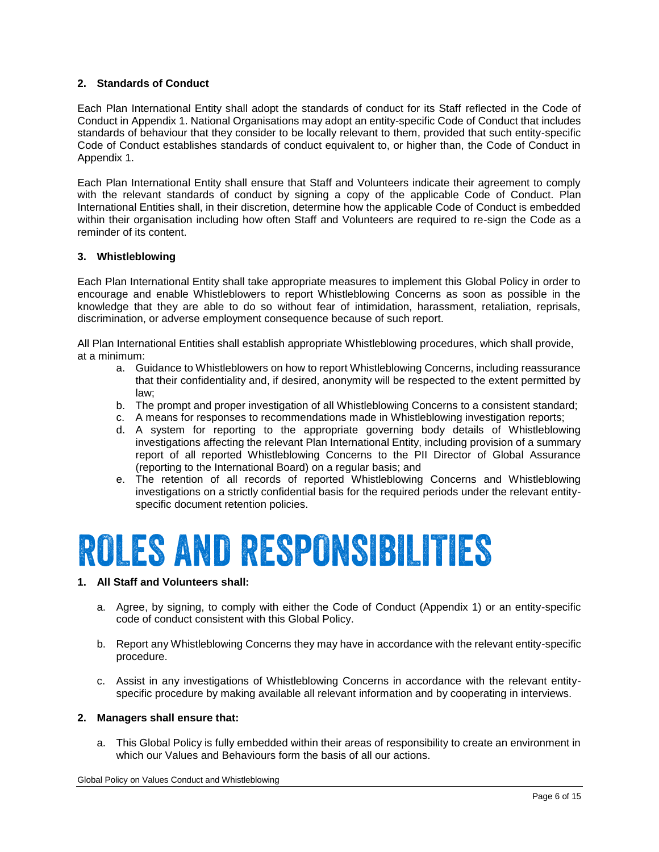### **2. Standards of Conduct**

Each Plan International Entity shall adopt the standards of conduct for its Staff reflected in the Code of Conduct in Appendix 1. National Organisations may adopt an entity-specific Code of Conduct that includes standards of behaviour that they consider to be locally relevant to them, provided that such entity-specific Code of Conduct establishes standards of conduct equivalent to, or higher than, the Code of Conduct in Appendix 1.

Each Plan International Entity shall ensure that Staff and Volunteers indicate their agreement to comply with the relevant standards of conduct by signing a copy of the applicable Code of Conduct. Plan International Entities shall, in their discretion, determine how the applicable Code of Conduct is embedded within their organisation including how often Staff and Volunteers are required to re-sign the Code as a reminder of its content.

#### **3. Whistleblowing**

Each Plan International Entity shall take appropriate measures to implement this Global Policy in order to encourage and enable Whistleblowers to report Whistleblowing Concerns as soon as possible in the knowledge that they are able to do so without fear of intimidation, harassment, retaliation, reprisals, discrimination, or adverse employment consequence because of such report.

All Plan International Entities shall establish appropriate Whistleblowing procedures, which shall provide, at a minimum:

- a. Guidance to Whistleblowers on how to report Whistleblowing Concerns, including reassurance that their confidentiality and, if desired, anonymity will be respected to the extent permitted by law;
- b. The prompt and proper investigation of all Whistleblowing Concerns to a consistent standard;
- c. A means for responses to recommendations made in Whistleblowing investigation reports;
- d. A system for reporting to the appropriate governing body details of Whistleblowing investigations affecting the relevant Plan International Entity, including provision of a summary report of all reported Whistleblowing Concerns to the PII Director of Global Assurance (reporting to the International Board) on a regular basis; and
- e. The retention of all records of reported Whistleblowing Concerns and Whistleblowing investigations on a strictly confidential basis for the required periods under the relevant entityspecific document retention policies.

# **ROLES AND RESPONSIBILITIES**

#### **1. All Staff and Volunteers shall:**

- a. Agree, by signing, to comply with either the Code of Conduct (Appendix 1) or an entity-specific code of conduct consistent with this Global Policy.
- b. Report any Whistleblowing Concerns they may have in accordance with the relevant entity-specific procedure.
- c. Assist in any investigations of Whistleblowing Concerns in accordance with the relevant entityspecific procedure by making available all relevant information and by cooperating in interviews.

#### **2. Managers shall ensure that:**

a. This Global Policy is fully embedded within their areas of responsibility to create an environment in which our Values and Behaviours form the basis of all our actions.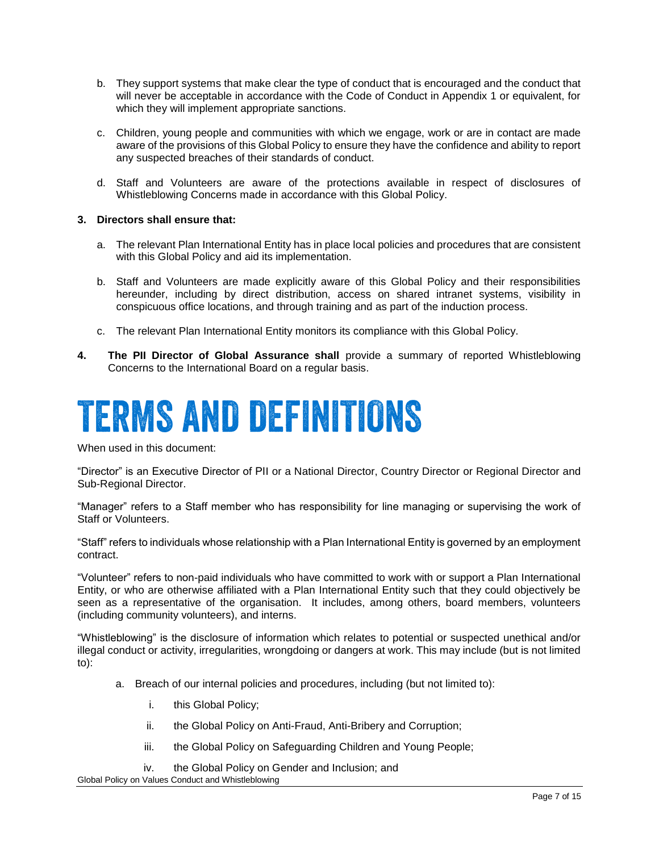- b. They support systems that make clear the type of conduct that is encouraged and the conduct that will never be acceptable in accordance with the Code of Conduct in Appendix 1 or equivalent, for which they will implement appropriate sanctions.
- c. Children, young people and communities with which we engage, work or are in contact are made aware of the provisions of this Global Policy to ensure they have the confidence and ability to report any suspected breaches of their standards of conduct.
- d. Staff and Volunteers are aware of the protections available in respect of disclosures of Whistleblowing Concerns made in accordance with this Global Policy.

#### **3. Directors shall ensure that:**

- a. The relevant Plan International Entity has in place local policies and procedures that are consistent with this Global Policy and aid its implementation.
- b. Staff and Volunteers are made explicitly aware of this Global Policy and their responsibilities hereunder, including by direct distribution, access on shared intranet systems, visibility in conspicuous office locations, and through training and as part of the induction process.
- c. The relevant Plan International Entity monitors its compliance with this Global Policy.
- **4. The PII Director of Global Assurance shall** provide a summary of reported Whistleblowing Concerns to the International Board on a regular basis.

# **TERMS AND DEFINITIONS**

When used in this document:

"Director" is an Executive Director of PII or a National Director, Country Director or Regional Director and Sub-Regional Director.

"Manager" refers to a Staff member who has responsibility for line managing or supervising the work of Staff or Volunteers.

"Staff" refers to individuals whose relationship with a Plan International Entity is governed by an employment contract.

"Volunteer" refers to non-paid individuals who have committed to work with or support a Plan International Entity, or who are otherwise affiliated with a Plan International Entity such that they could objectively be seen as a representative of the organisation. It includes, among others, board members, volunteers (including community volunteers), and interns.

"Whistleblowing" is the disclosure of information which relates to potential or suspected unethical and/or illegal conduct or activity, irregularities, wrongdoing or dangers at work. This may include (but is not limited to):

- a. Breach of our internal policies and procedures, including (but not limited to):
	- i. this Global Policy;
	- ii. the Global Policy on Anti-Fraud, Anti-Bribery and Corruption;
	- iii. the Global Policy on Safeguarding Children and Young People;
	- iv. the Global Policy on Gender and Inclusion; and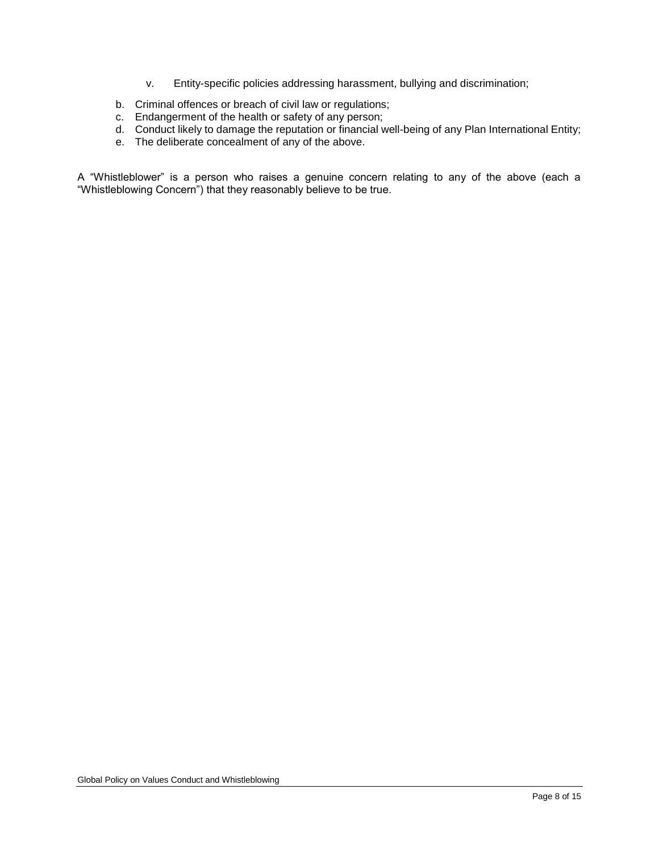- v. Entity-specific policies addressing harassment, bullying and discrimination;
- b. Criminal offences or breach of civil law or regulations;
- c. Endangerment of the health or safety of any person;
- d. Conduct likely to damage the reputation or financial well-being of any Plan International Entity;
- e. The deliberate concealment of any of the above.

A "Whistleblower" is a person who raises a genuine concern relating to any of the above (each a "Whistleblowing Concern") that they reasonably believe to be true.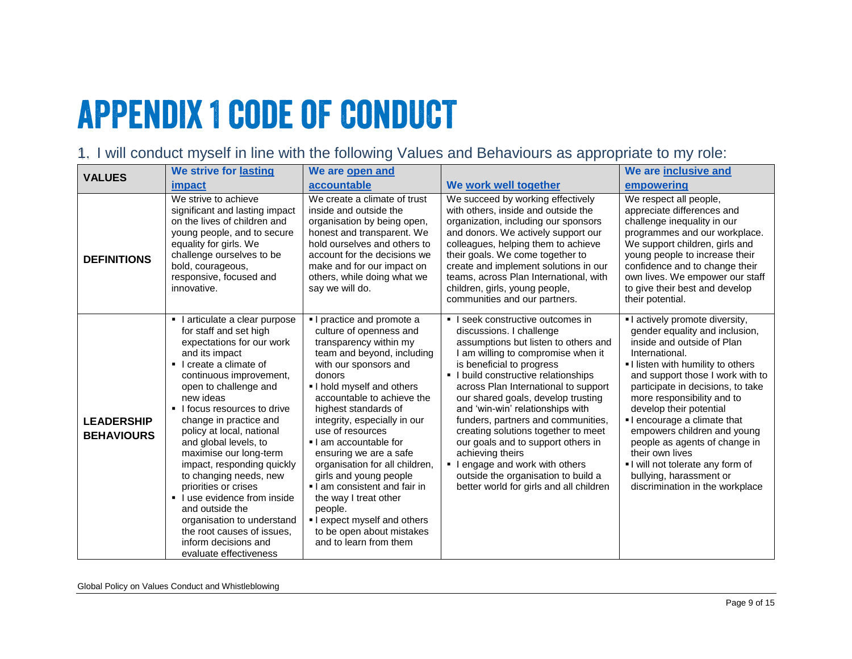# **APPENDIX 1 CODE OF CONDUCT**

1. I will conduct myself in line with the following Values and Behaviours as appropriate to my role:

| <b>VALUES</b>                          | We strive for lasting                                                                                                                                                                                                                                                                                                                                                                                                                                                                                                                                                                  | We are open and                                                                                                                                                                                                                                                                                                                                                                                                                                                                                                                                              |                                                                                                                                                                                                                                                                                                                                                                                                                                                                                                                                                                                            | We are inclusive and                                                                                                                                                                                                                                                                                                                                                                                                                                                                                    |
|----------------------------------------|----------------------------------------------------------------------------------------------------------------------------------------------------------------------------------------------------------------------------------------------------------------------------------------------------------------------------------------------------------------------------------------------------------------------------------------------------------------------------------------------------------------------------------------------------------------------------------------|--------------------------------------------------------------------------------------------------------------------------------------------------------------------------------------------------------------------------------------------------------------------------------------------------------------------------------------------------------------------------------------------------------------------------------------------------------------------------------------------------------------------------------------------------------------|--------------------------------------------------------------------------------------------------------------------------------------------------------------------------------------------------------------------------------------------------------------------------------------------------------------------------------------------------------------------------------------------------------------------------------------------------------------------------------------------------------------------------------------------------------------------------------------------|---------------------------------------------------------------------------------------------------------------------------------------------------------------------------------------------------------------------------------------------------------------------------------------------------------------------------------------------------------------------------------------------------------------------------------------------------------------------------------------------------------|
|                                        | impact                                                                                                                                                                                                                                                                                                                                                                                                                                                                                                                                                                                 | accountable                                                                                                                                                                                                                                                                                                                                                                                                                                                                                                                                                  | We work well together                                                                                                                                                                                                                                                                                                                                                                                                                                                                                                                                                                      | empowering                                                                                                                                                                                                                                                                                                                                                                                                                                                                                              |
| <b>DEFINITIONS</b>                     | We strive to achieve<br>significant and lasting impact<br>on the lives of children and<br>young people, and to secure<br>equality for girls. We<br>challenge ourselves to be<br>bold, courageous,<br>responsive, focused and<br>innovative.                                                                                                                                                                                                                                                                                                                                            | We create a climate of trust<br>inside and outside the<br>organisation by being open,<br>honest and transparent. We<br>hold ourselves and others to<br>account for the decisions we<br>make and for our impact on<br>others, while doing what we<br>say we will do.                                                                                                                                                                                                                                                                                          | We succeed by working effectively<br>with others, inside and outside the<br>organization, including our sponsors<br>and donors. We actively support our<br>colleagues, helping them to achieve<br>their goals. We come together to<br>create and implement solutions in our<br>teams, across Plan International, with<br>children, girls, young people,<br>communities and our partners.                                                                                                                                                                                                   | We respect all people,<br>appreciate differences and<br>challenge inequality in our<br>programmes and our workplace.<br>We support children, girls and<br>young people to increase their<br>confidence and to change their<br>own lives. We empower our staff<br>to give their best and develop<br>their potential.                                                                                                                                                                                     |
| <b>LEADERSHIP</b><br><b>BEHAVIOURS</b> | I articulate a clear purpose<br>for staff and set high<br>expectations for our work<br>and its impact<br>I create a climate of<br>continuous improvement,<br>open to challenge and<br>new ideas<br>I focus resources to drive<br>change in practice and<br>policy at local, national<br>and global levels, to<br>maximise our long-term<br>impact, responding quickly<br>to changing needs, new<br>priorities or crises<br>I use evidence from inside<br>and outside the<br>organisation to understand<br>the root causes of issues.<br>inform decisions and<br>evaluate effectiveness | I practice and promote a<br>culture of openness and<br>transparency within my<br>team and beyond, including<br>with our sponsors and<br>donors<br>I hold myself and others<br>accountable to achieve the<br>highest standards of<br>integrity, especially in our<br>use of resources<br>. I am accountable for<br>ensuring we are a safe<br>organisation for all children,<br>girls and young people<br>I am consistent and fair in<br>the way I treat other<br>people.<br>I expect myself and others<br>to be open about mistakes<br>and to learn from them | I seek constructive outcomes in<br>discussions. I challenge<br>assumptions but listen to others and<br>I am willing to compromise when it<br>is beneficial to progress<br>• I build constructive relationships<br>across Plan International to support<br>our shared goals, develop trusting<br>and 'win-win' relationships with<br>funders, partners and communities,<br>creating solutions together to meet<br>our goals and to support others in<br>achieving theirs<br>I engage and work with others<br>outside the organisation to build a<br>better world for girls and all children | I actively promote diversity,<br>gender equality and inclusion,<br>inside and outside of Plan<br>International.<br>I listen with humility to others<br>and support those I work with to<br>participate in decisions, to take<br>more responsibility and to<br>develop their potential<br>I encourage a climate that<br>empowers children and young<br>people as agents of change in<br>their own lives<br>I will not tolerate any form of<br>bullying, harassment or<br>discrimination in the workplace |

Global Policy on Values Conduct and Whistleblowing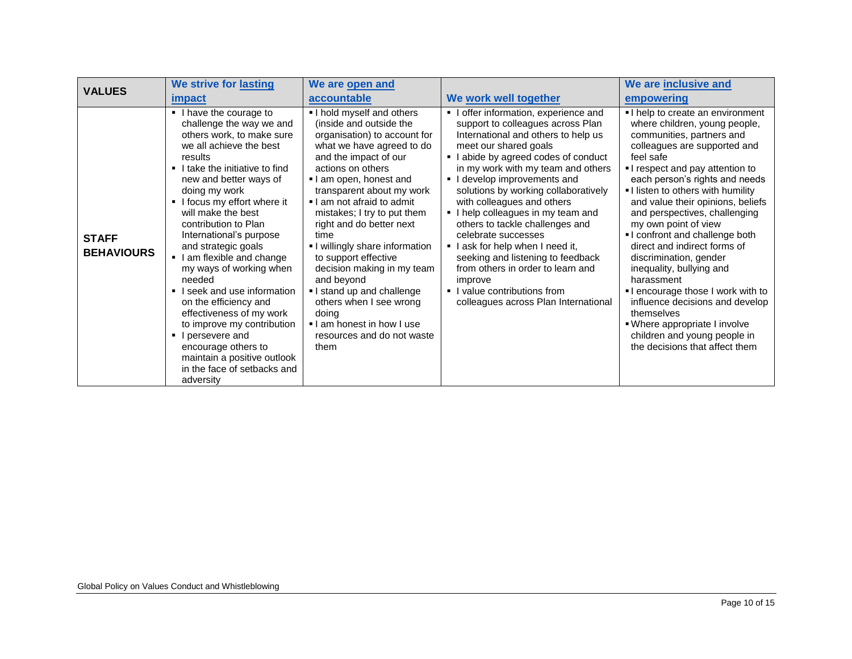| <b>VALUES</b>                     | We strive for lasting                                                                                                                                                                                                                                                                                                                                                                                                                                                                                                                                                                                                                 | We are open and                                                                                                                                                                                                                                                                                                                                                                                                                                                                                                                                            |                                                                                                                                                                                                                                                                                                                                                                                                                                                                                                                                                                                                                       | We are inclusive and                                                                                                                                                                                                                                                                                                                                                                                                                                                                                                                                                                                                                                                          |
|-----------------------------------|---------------------------------------------------------------------------------------------------------------------------------------------------------------------------------------------------------------------------------------------------------------------------------------------------------------------------------------------------------------------------------------------------------------------------------------------------------------------------------------------------------------------------------------------------------------------------------------------------------------------------------------|------------------------------------------------------------------------------------------------------------------------------------------------------------------------------------------------------------------------------------------------------------------------------------------------------------------------------------------------------------------------------------------------------------------------------------------------------------------------------------------------------------------------------------------------------------|-----------------------------------------------------------------------------------------------------------------------------------------------------------------------------------------------------------------------------------------------------------------------------------------------------------------------------------------------------------------------------------------------------------------------------------------------------------------------------------------------------------------------------------------------------------------------------------------------------------------------|-------------------------------------------------------------------------------------------------------------------------------------------------------------------------------------------------------------------------------------------------------------------------------------------------------------------------------------------------------------------------------------------------------------------------------------------------------------------------------------------------------------------------------------------------------------------------------------------------------------------------------------------------------------------------------|
|                                   | impact                                                                                                                                                                                                                                                                                                                                                                                                                                                                                                                                                                                                                                | accountable                                                                                                                                                                                                                                                                                                                                                                                                                                                                                                                                                | We work well together                                                                                                                                                                                                                                                                                                                                                                                                                                                                                                                                                                                                 | empowering                                                                                                                                                                                                                                                                                                                                                                                                                                                                                                                                                                                                                                                                    |
| <b>STAFF</b><br><b>BEHAVIOURS</b> | I have the courage to<br>challenge the way we and<br>others work, to make sure<br>we all achieve the best<br>results<br>I take the initiative to find<br>new and better ways of<br>doing my work<br>I focus my effort where it<br>will make the best<br>contribution to Plan<br>International's purpose<br>and strategic goals<br>I am flexible and change<br>my ways of working when<br>needed<br>I seek and use information<br>on the efficiency and<br>effectiveness of my work<br>to improve my contribution<br>I persevere and<br>encourage others to<br>maintain a positive outlook<br>in the face of setbacks and<br>adversity | I hold myself and others<br>(inside and outside the<br>organisation) to account for<br>what we have agreed to do<br>and the impact of our<br>actions on others<br>I am open, honest and<br>transparent about my work<br>I am not afraid to admit<br>mistakes; I try to put them<br>right and do better next<br>time<br>I willingly share information<br>to support effective<br>decision making in my team<br>and beyond<br>I stand up and challenge<br>others when I see wrong<br>doing<br>I am honest in how I use<br>resources and do not waste<br>them | I offer information, experience and<br>support to colleagues across Plan<br>International and others to help us<br>meet our shared goals<br>I abide by agreed codes of conduct<br>in my work with my team and others<br>I develop improvements and<br>solutions by working collaboratively<br>with colleagues and others<br>I help colleagues in my team and<br>others to tackle challenges and<br>celebrate successes<br>I ask for help when I need it,<br>seeking and listening to feedback<br>from others in order to learn and<br>improve<br>• I value contributions from<br>colleagues across Plan International | I help to create an environment<br>where children, young people,<br>communities, partners and<br>colleagues are supported and<br>feel safe<br>I respect and pay attention to<br>each person's rights and needs<br>I listen to others with humility<br>and value their opinions, beliefs<br>and perspectives, challenging<br>my own point of view<br>I confront and challenge both<br>direct and indirect forms of<br>discrimination, gender<br>inequality, bullying and<br>harassment<br>I encourage those I work with to<br>influence decisions and develop<br>themselves<br>. Where appropriate I involve<br>children and young people in<br>the decisions that affect them |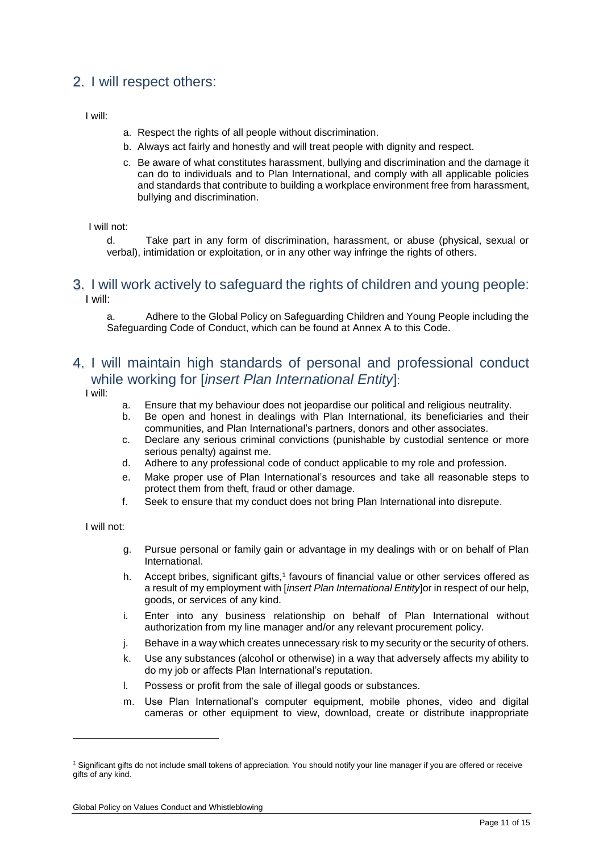# 2. I will respect others:

I will:

- a. Respect the rights of all people without discrimination.
- b. Always act fairly and honestly and will treat people with dignity and respect.
- c. Be aware of what constitutes harassment, bullying and discrimination and the damage it can do to individuals and to Plan International, and comply with all applicable policies and standards that contribute to building a workplace environment free from harassment, bullying and discrimination.

I will not:

d. Take part in any form of discrimination, harassment, or abuse (physical, sexual or verbal), intimidation or exploitation, or in any other way infringe the rights of others.

### 3. I will work actively to safeguard the rights of children and young people: I will:

a. Adhere to the Global Policy on Safeguarding Children and Young People including the Safeguarding Code of Conduct, which can be found at Annex A to this Code.

# 4. I will maintain high standards of personal and professional conduct while working for [*insert Plan International Entity*]:

I will:

- a. Ensure that my behaviour does not jeopardise our political and religious neutrality.
- b. Be open and honest in dealings with Plan International, its beneficiaries and their communities, and Plan International's partners, donors and other associates.
- c. Declare any serious criminal convictions (punishable by custodial sentence or more serious penalty) against me.
- d. Adhere to any professional code of conduct applicable to my role and profession.
- e. Make proper use of Plan International's resources and take all reasonable steps to protect them from theft, fraud or other damage.
- f. Seek to ensure that my conduct does not bring Plan International into disrepute.

I will not:

-

- g. Pursue personal or family gain or advantage in my dealings with or on behalf of Plan International.
- h. Accept bribes, significant gifts,<sup>1</sup> favours of financial value or other services offered as a result of my employment with [*insert Plan International Entity*]or in respect of our help, goods, or services of any kind.
- i. Enter into any business relationship on behalf of Plan International without authorization from my line manager and/or any relevant procurement policy.
- j. Behave in a way which creates unnecessary risk to my security or the security of others.
- k. Use any substances (alcohol or otherwise) in a way that adversely affects my ability to do my job or affects Plan International's reputation.
- l. Possess or profit from the sale of illegal goods or substances.
- m. Use Plan International's computer equipment, mobile phones, video and digital cameras or other equipment to view, download, create or distribute inappropriate

<sup>&</sup>lt;sup>1</sup> Significant gifts do not include small tokens of appreciation. You should notify your line manager if you are offered or receive gifts of any kind.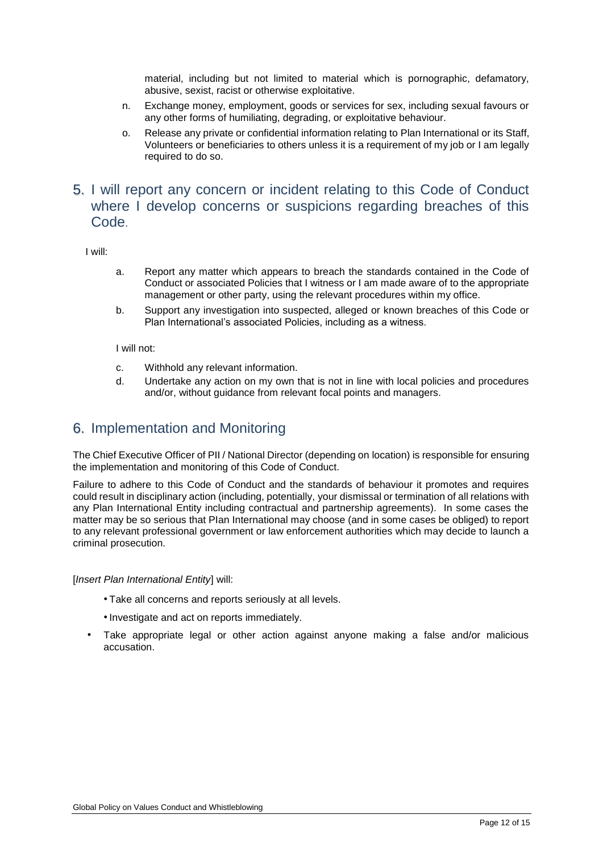material, including but not limited to material which is pornographic, defamatory, abusive, sexist, racist or otherwise exploitative.

- n. Exchange money, employment, goods or services for sex, including sexual favours or any other forms of humiliating, degrading, or exploitative behaviour.
- o. Release any private or confidential information relating to Plan International or its Staff, Volunteers or beneficiaries to others unless it is a requirement of my job or I am legally required to do so.

## 5. I will report any concern or incident relating to this Code of Conduct where I develop concerns or suspicions regarding breaches of this Code.

I will:

- a. Report any matter which appears to breach the standards contained in the Code of Conduct or associated Policies that I witness or I am made aware of to the appropriate management or other party, using the relevant procedures within my office.
- b. Support any investigation into suspected, alleged or known breaches of this Code or Plan International's associated Policies, including as a witness.

I will not:

- c. Withhold any relevant information.
- d. Undertake any action on my own that is not in line with local policies and procedures and/or, without guidance from relevant focal points and managers.

### 6. Implementation and Monitoring

The Chief Executive Officer of PII / National Director (depending on location) is responsible for ensuring the implementation and monitoring of this Code of Conduct.

Failure to adhere to this Code of Conduct and the standards of behaviour it promotes and requires could result in disciplinary action (including, potentially, your dismissal or termination of all relations with any Plan International Entity including contractual and partnership agreements). In some cases the matter may be so serious that PIan International may choose (and in some cases be obliged) to report to any relevant professional government or law enforcement authorities which may decide to launch a criminal prosecution.

#### [*Insert Plan International Entity*] will:

- Take all concerns and reports seriously at all levels.
- •Investigate and act on reports immediately.
- Take appropriate legal or other action against anyone making a false and/or malicious accusation.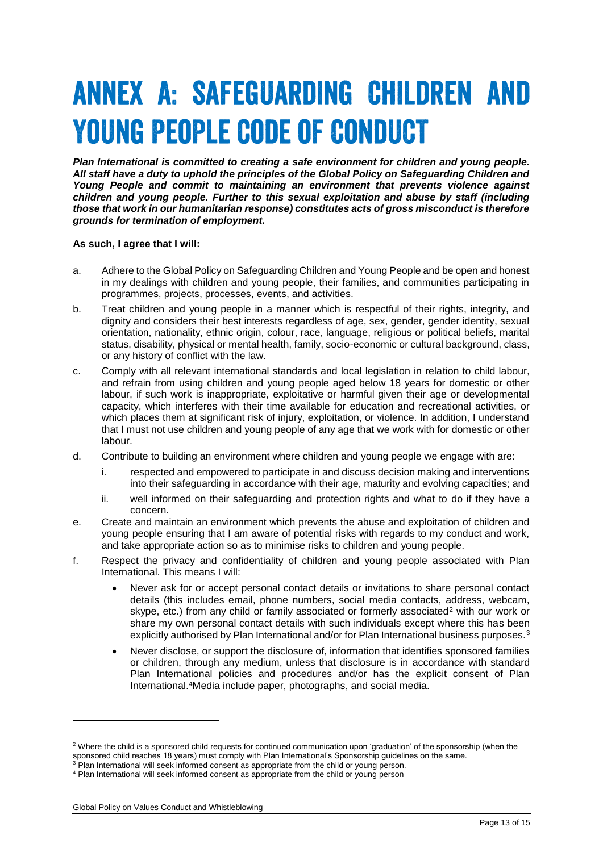# **ANNEX A: SAFEGUARDING CHILDREN AND YOUNG PEOPLE CODE OF CONDUCT**

*Plan International is committed to creating a safe environment for children and young people. All staff have a duty to uphold the principles of the Global Policy on Safeguarding Children and Young People and commit to maintaining an environment that prevents violence against children and young people. Further to this sexual exploitation and abuse by staff (including those that work in our humanitarian response) constitutes acts of gross misconduct is therefore grounds for termination of employment.* 

#### **As such, I agree that I will:**

- a. Adhere to the Global Policy on Safeguarding Children and Young People and be open and honest in my dealings with children and young people, their families, and communities participating in programmes, projects, processes, events, and activities.
- b. Treat children and young people in a manner which is respectful of their rights, integrity, and dignity and considers their best interests regardless of age, sex, gender, gender identity, sexual orientation, nationality, ethnic origin, colour, race, language, religious or political beliefs, marital status, disability, physical or mental health, family, socio-economic or cultural background, class, or any history of conflict with the law.
- c. Comply with all relevant international standards and local legislation in relation to child labour, and refrain from using children and young people aged below 18 years for domestic or other labour, if such work is inappropriate, exploitative or harmful given their age or developmental capacity, which interferes with their time available for education and recreational activities, or which places them at significant risk of injury, exploitation, or violence. In addition, I understand that I must not use children and young people of any age that we work with for domestic or other labour.
- d. Contribute to building an environment where children and young people we engage with are:
	- i. respected and empowered to participate in and discuss decision making and interventions into their safeguarding in accordance with their age, maturity and evolving capacities; and
	- ii. well informed on their safeguarding and protection rights and what to do if they have a concern.
- e. Create and maintain an environment which prevents the abuse and exploitation of children and young people ensuring that I am aware of potential risks with regards to my conduct and work, and take appropriate action so as to minimise risks to children and young people.
- f. Respect the privacy and confidentiality of children and young people associated with Plan International. This means I will:
	- Never ask for or accept personal contact details or invitations to share personal contact details (this includes email, phone numbers, social media contacts, address, webcam, skype, etc.) from any child or family associated or formerly associated<sup>2</sup> with our work or share my own personal contact details with such individuals except where this has been explicitly authorised by Plan International and/or for Plan International business purposes.<sup>3</sup>
	- Never disclose, or support the disclosure of, information that identifies sponsored families or children, through any medium, unless that disclosure is in accordance with standard Plan International policies and procedures and/or has the explicit consent of Plan International.<sup>4</sup>Media include paper, photographs, and social media.

-

<sup>&</sup>lt;sup>2</sup> Where the child is a sponsored child requests for continued communication upon 'graduation' of the sponsorship (when the sponsored child reaches 18 years) must comply with Plan International's Sponsorship guidelines on the same.

 $3$  Plan International will seek informed consent as appropriate from the child or young person.

<sup>4</sup> Plan International will seek informed consent as appropriate from the child or young person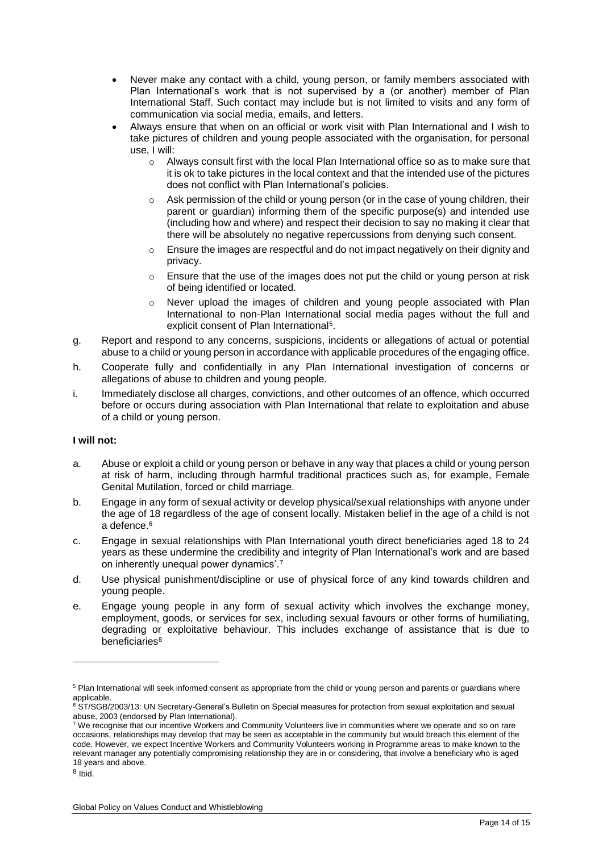- Never make any contact with a child, young person, or family members associated with Plan International's work that is not supervised by a (or another) member of Plan International Staff. Such contact may include but is not limited to visits and any form of communication via social media, emails, and letters.
- Always ensure that when on an official or work visit with Plan International and I wish to take pictures of children and young people associated with the organisation, for personal use, I will:
	- $\circ$  Always consult first with the local Plan International office so as to make sure that it is ok to take pictures in the local context and that the intended use of the pictures does not conflict with Plan International's policies.
	- $\circ$  Ask permission of the child or young person (or in the case of young children, their parent or guardian) informing them of the specific purpose(s) and intended use (including how and where) and respect their decision to say no making it clear that there will be absolutely no negative repercussions from denying such consent.
	- o Ensure the images are respectful and do not impact negatively on their dignity and privacy.
	- $\circ$  Ensure that the use of the images does not put the child or young person at risk of being identified or located.
	- o Never upload the images of children and young people associated with Plan International to non-Plan International social media pages without the full and explicit consent of Plan International<sup>5</sup>.
- g. Report and respond to any concerns, suspicions, incidents or allegations of actual or potential abuse to a child or young person in accordance with applicable procedures of the engaging office.
- h. Cooperate fully and confidentially in any Plan International investigation of concerns or allegations of abuse to children and young people.
- i. Immediately disclose all charges, convictions, and other outcomes of an offence, which occurred before or occurs during association with Plan International that relate to exploitation and abuse of a child or young person.

### **I will not:**

- a. Abuse or exploit a child or young person or behave in any way that places a child or young person at risk of harm, including through harmful traditional practices such as, for example, Female Genital Mutilation, forced or child marriage.
- b. Engage in any form of sexual activity or develop physical/sexual relationships with anyone under the age of 18 regardless of the age of consent locally. Mistaken belief in the age of a child is not a defence.<sup>6</sup>
- c. Engage in sexual relationships with Plan International youth direct beneficiaries aged 18 to 24 years as these undermine the credibility and integrity of Plan International's work and are based on inherently unequal power dynamics'.<sup>7</sup>
- d. Use physical punishment/discipline or use of physical force of any kind towards children and young people.
- e. Engage young people in any form of sexual activity which involves the exchange money, employment, goods, or services for sex, including sexual favours or other forms of humiliating, degrading or exploitative behaviour. This includes exchange of assistance that is due to beneficiaries<sup>8</sup>

8 Ibid.

-

<sup>&</sup>lt;sup>5</sup> Plan International will seek informed consent as appropriate from the child or young person and parents or quardians where applicable.

<sup>&</sup>lt;sup>6</sup> ST/SGB/2003/13: UN Secretary-General's Bulletin on Special measures for protection from sexual exploitation and sexual abuse, 2003 (endorsed by Plan International).

<sup>7</sup> We recognise that our incentive Workers and Community Volunteers live in communities where we operate and so on rare occasions, relationships may develop that may be seen as acceptable in the community but would breach this element of the code. However, we expect Incentive Workers and Community Volunteers working in Programme areas to make known to the relevant manager any potentially compromising relationship they are in or considering, that involve a beneficiary who is aged 18 years and above.